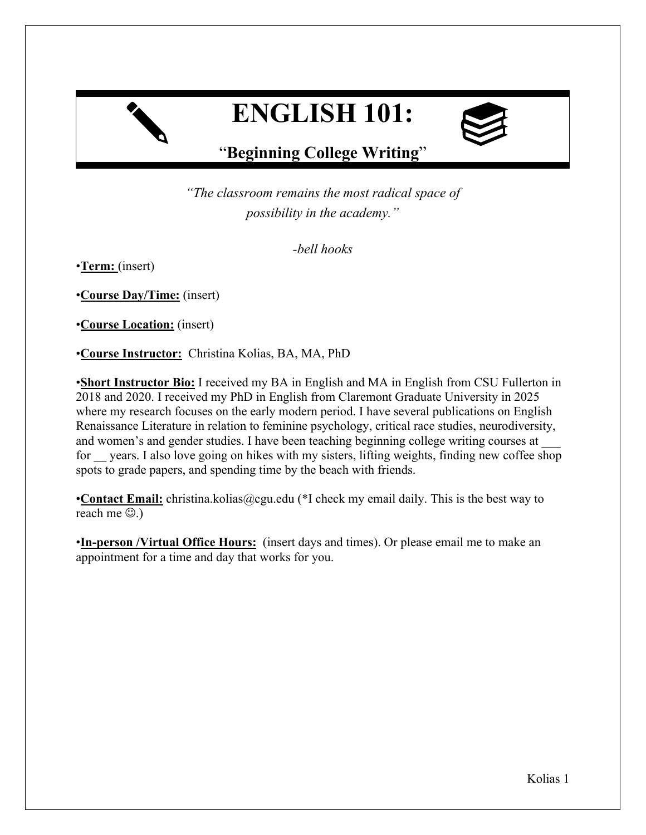# **ENGLISH 101:**



# "**Beginning College Writing**"

"The classroom remains the most radical space of possibility in the academy."

-bell hooks

•**Term:** (insert)

•**Course Day/Time:** (insert)

•**Course Location:** (insert)

•**Course Instructor:** Christina Kolias, BA, MA, PhD

•**Short Instructor Bio:** I received my BA in English and MA in English from CSU Fullerton in 2018 and 2020. I received my PhD in English from Claremont Graduate University in 2025 where my research focuses on the early modern period. I have several publications on English Renaissance Literature in relation to feminine psychology, critical race studies, neurodiversity, and women's and gender studies. I have been teaching beginning college writing courses at for vears. I also love going on hikes with my sisters, lifting weights, finding new coffee shop spots to grade papers, and spending time by the beach with friends.

•**Contact Email:** christina.kolias@cgu.edu (\*I check my email daily. This is the best way to reach me  $\circledcirc$ .)

•**In-person /Virtual Office Hours:** (insert days and times). Or please email me to make an appointment for a time and day that works for you.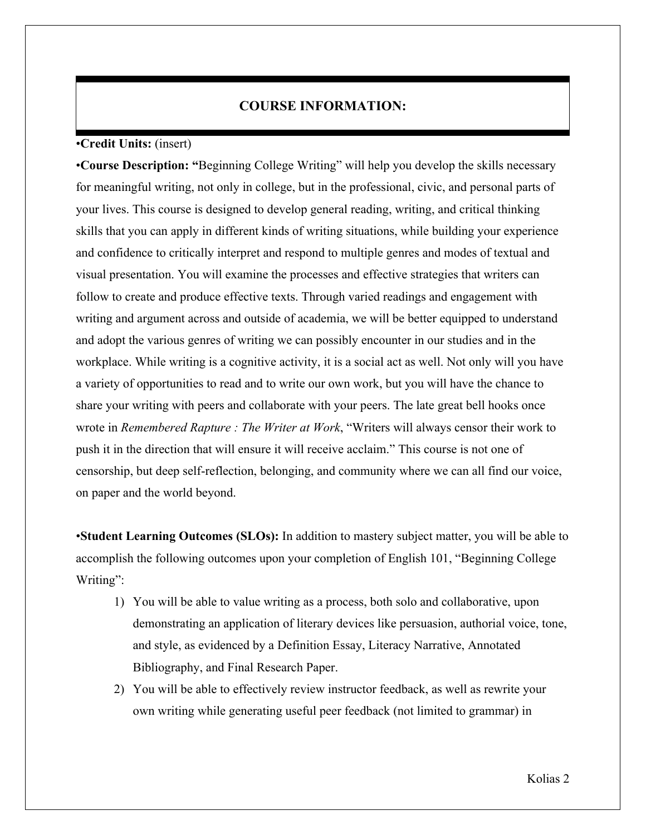## **COURSE INFORMATION:**

#### •**Credit Units:** (insert)

•**Course Description: "**Beginning College Writing" will help you develop the skills necessary for meaningful writing, not only in college, but in the professional, civic, and personal parts of your lives. This course is designed to develop general reading, writing, and critical thinking skills that you can apply in different kinds of writing situations, while building your experience and confidence to critically interpret and respond to multiple genres and modes of textual and visual presentation. You will examine the processes and effective strategies that writers can follow to create and produce effective texts. Through varied readings and engagement with writing and argument across and outside of academia, we will be better equipped to understand and adopt the various genres of writing we can possibly encounter in our studies and in the workplace. While writing is a cognitive activity, it is a social act as well. Not only will you have a variety of opportunities to read and to write our own work, but you will have the chance to share your writing with peers and collaborate with your peers. The late great bell hooks once wrote in *Remembered Rapture : The Writer at Work*, "Writers will always censor their work to push it in the direction that will ensure it will receive acclaim." This course is not one of censorship, but deep self-reflection, belonging, and community where we can all find our voice, on paper and the world beyond.

•**Student Learning Outcomes (SLOs):** In addition to mastery subject matter, you will be able to accomplish the following outcomes upon your completion of English 101, "Beginning College Writing":

- 1) You will be able to value writing as a process, both solo and collaborative, upon demonstrating an application of literary devices like persuasion, authorial voice, tone, and style, as evidenced by a Definition Essay, Literacy Narrative, Annotated Bibliography, and Final Research Paper.
- 2) You will be able to effectively review instructor feedback, as well as rewrite your own writing while generating useful peer feedback (not limited to grammar) in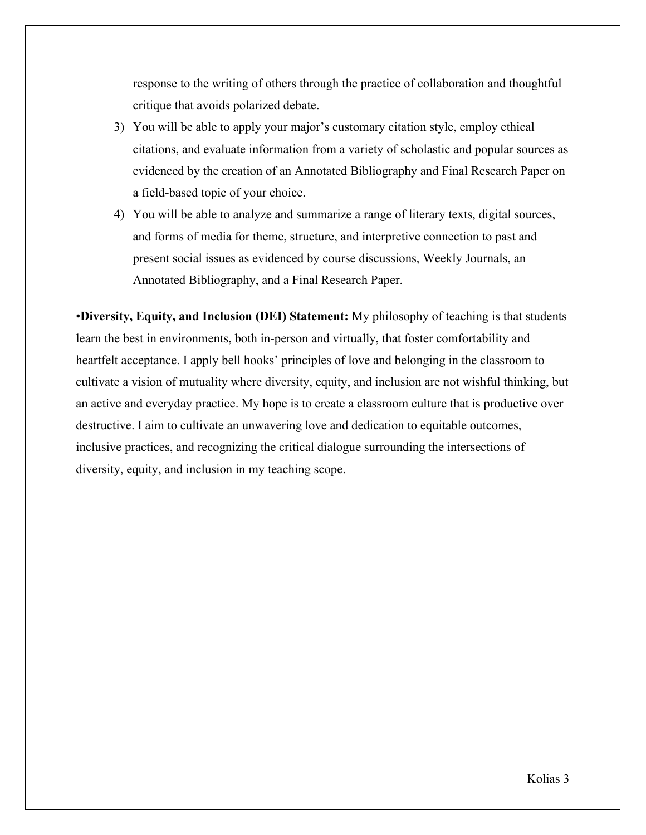response to the writing of others through the practice of collaboration and thoughtful critique that avoids polarized debate.

- 3) You will be able to apply your major's customary citation style, employ ethical citations, and evaluate information from a variety of scholastic and popular sources as evidenced by the creation of an Annotated Bibliography and Final Research Paper on a field-based topic of your choice.
- 4) You will be able to analyze and summarize a range of literary texts, digital sources, and forms of media for theme, structure, and interpretive connection to past and present social issues as evidenced by course discussions, Weekly Journals, an Annotated Bibliography, and a Final Research Paper.

•**Diversity, Equity, and Inclusion (DEI) Statement:** My philosophy of teaching is that students learn the best in environments, both in-person and virtually, that foster comfortability and heartfelt acceptance. I apply bell hooks' principles of love and belonging in the classroom to cultivate a vision of mutuality where diversity, equity, and inclusion are not wishful thinking, but an active and everyday practice. My hope is to create a classroom culture that is productive over destructive. I aim to cultivate an unwavering love and dedication to equitable outcomes, inclusive practices, and recognizing the critical dialogue surrounding the intersections of diversity, equity, and inclusion in my teaching scope.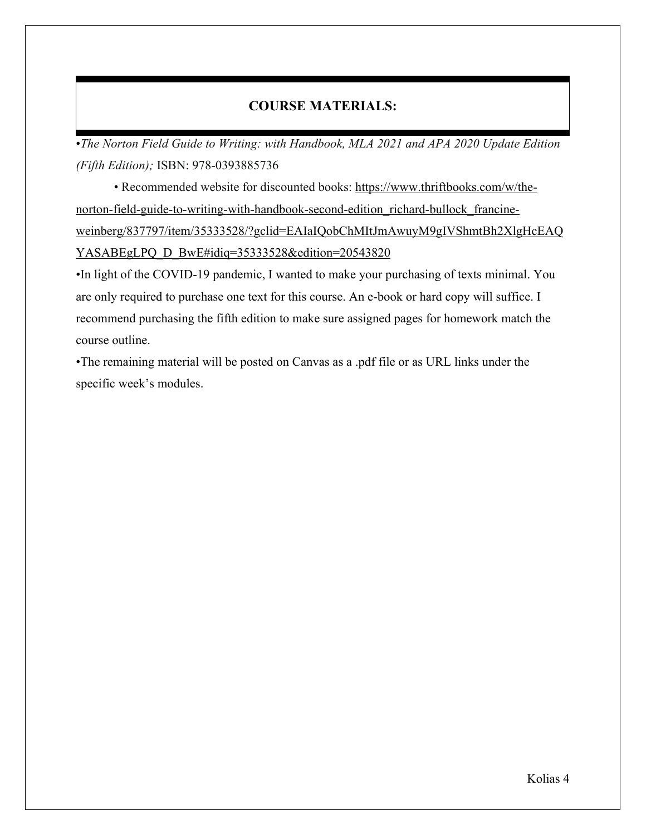# **COURSE MATERIALS:**

•*The Norton Field Guide to Writing: with Handbook, MLA 2021 and APA 2020 Update Edition (Fifth Edition);* ISBN: 978-0393885736

• Recommended website for discounted books: https://www.thriftbooks.com/w/thenorton-field-guide-to-writing-with-handbook-second-edition\_richard-bullock\_francineweinberg/837797/item/35333528/?gclid=EAIaIQobChMItJmAwuyM9gIVShmtBh2XlgHcEAQ YASABEgLPQ\_D\_BwE#idiq=35333528&edition=20543820

•In light of the COVID-19 pandemic, I wanted to make your purchasing of texts minimal. You are only required to purchase one text for this course. An e-book or hard copy will suffice. I recommend purchasing the fifth edition to make sure assigned pages for homework match the course outline.

•The remaining material will be posted on Canvas as a .pdf file or as URL links under the specific week's modules.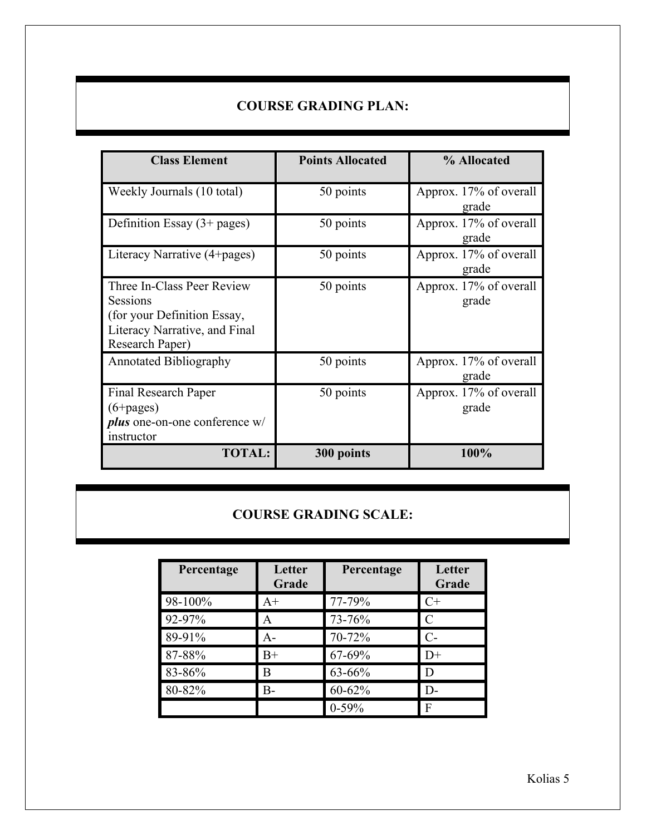# **COURSE GRADING PLAN:**

| <b>Class Element</b>                                                                                                      | <b>Points Allocated</b> | % Allocated                     |
|---------------------------------------------------------------------------------------------------------------------------|-------------------------|---------------------------------|
| Weekly Journals (10 total)                                                                                                | 50 points               | Approx. 17% of overall<br>grade |
| Definition Essay $(3+)$ pages)                                                                                            | 50 points               | Approx. 17% of overall<br>grade |
| Literacy Narrative (4+pages)                                                                                              | 50 points               | Approx. 17% of overall<br>grade |
| Three In-Class Peer Review<br>Sessions<br>(for your Definition Essay,<br>Literacy Narrative, and Final<br>Research Paper) | 50 points               | Approx. 17% of overall<br>grade |
| <b>Annotated Bibliography</b>                                                                                             | 50 points               | Approx. 17% of overall<br>grade |
| Final Research Paper<br>$(6+pages)$<br><i>plus</i> one-on-one conference w/<br>instructor                                 | 50 points               | Approx. 17% of overall<br>grade |
| <b>TOTAL:</b>                                                                                                             | 300 points              | 100%                            |

# **COURSE GRADING SCALE:**

| Percentage | Letter<br>Grade | Percentage | Letter<br>Grade |
|------------|-----------------|------------|-----------------|
| 98-100%    | $A+$            | 77-79%     | $C+$            |
| 92-97%     | A               | 73-76%     | $\mathcal{C}$   |
| 89-91%     | $A -$           | 70-72%     | $C-$            |
| 87-88%     | $B+$            | 67-69%     | $D+$            |
| 83-86%     | B               | 63-66%     | D               |
| 80-82%     | B-              | $60 - 62%$ | $D-$            |
|            |                 | $0-59%$    | F               |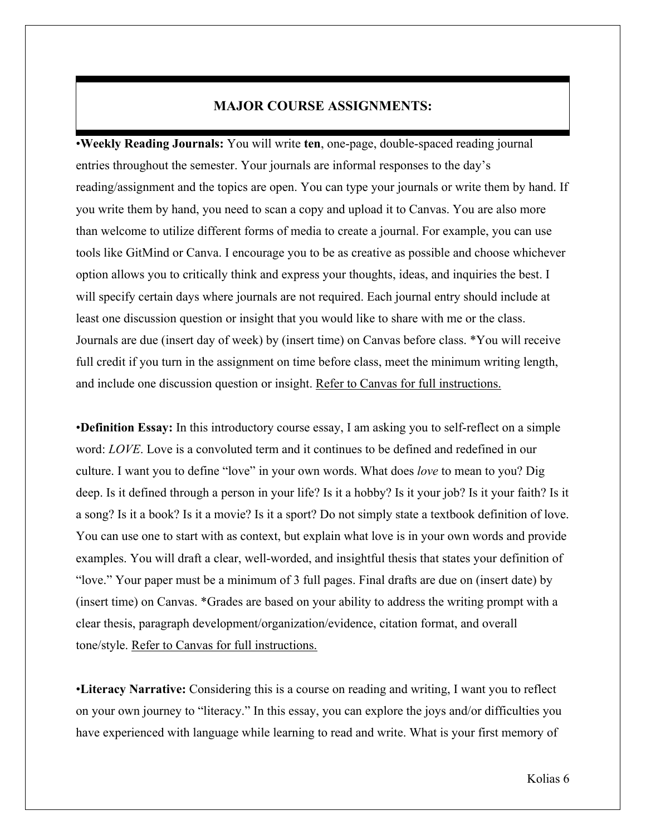## **MAJOR COURSE ASSIGNMENTS:**

•**Weekly Reading Journals:** You will write **ten**, one-page, double-spaced reading journal entries throughout the semester. Your journals are informal responses to the day's reading/assignment and the topics are open. You can type your journals or write them by hand. If you write them by hand, you need to scan a copy and upload it to Canvas. You are also more than welcome to utilize different forms of media to create a journal. For example, you can use tools like GitMind or Canva. I encourage you to be as creative as possible and choose whichever option allows you to critically think and express your thoughts, ideas, and inquiries the best. I will specify certain days where journals are not required. Each journal entry should include at least one discussion question or insight that you would like to share with me or the class. Journals are due (insert day of week) by (insert time) on Canvas before class. \*You will receive full credit if you turn in the assignment on time before class, meet the minimum writing length, and include one discussion question or insight. Refer to Canvas for full instructions.

•**Definition Essay:** In this introductory course essay, I am asking you to self-reflect on a simple word: *LOVE*. Love is a convoluted term and it continues to be defined and redefined in our culture. I want you to define "love" in your own words. What does *love* to mean to you? Dig deep. Is it defined through a person in your life? Is it a hobby? Is it your job? Is it your faith? Is it a song? Is it a book? Is it a movie? Is it a sport? Do not simply state a textbook definition of love. You can use one to start with as context, but explain what love is in your own words and provide examples. You will draft a clear, well-worded, and insightful thesis that states your definition of "love." Your paper must be a minimum of 3 full pages. Final drafts are due on (insert date) by (insert time) on Canvas. \*Grades are based on your ability to address the writing prompt with a clear thesis, paragraph development/organization/evidence, citation format, and overall tone/style. Refer to Canvas for full instructions.

•**Literacy Narrative:** Considering this is a course on reading and writing, I want you to reflect on your own journey to "literacy." In this essay, you can explore the joys and/or difficulties you have experienced with language while learning to read and write. What is your first memory of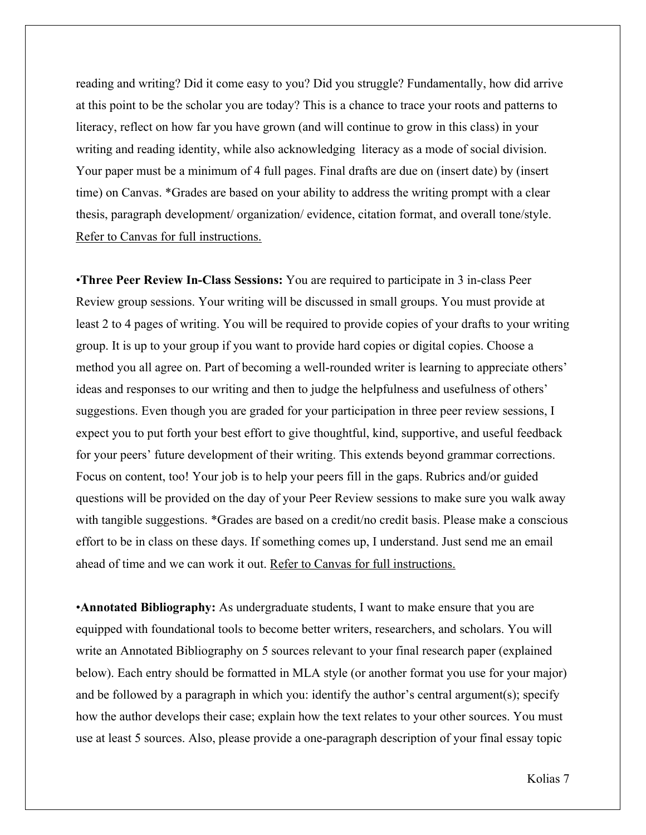reading and writing? Did it come easy to you? Did you struggle? Fundamentally, how did arrive at this point to be the scholar you are today? This is a chance to trace your roots and patterns to literacy, reflect on how far you have grown (and will continue to grow in this class) in your writing and reading identity, while also acknowledging literacy as a mode of social division. Your paper must be a minimum of 4 full pages. Final drafts are due on (insert date) by (insert time) on Canvas. \*Grades are based on your ability to address the writing prompt with a clear thesis, paragraph development/ organization/ evidence, citation format, and overall tone/style. Refer to Canvas for full instructions.

•**Three Peer Review In-Class Sessions:** You are required to participate in 3 in-class Peer Review group sessions. Your writing will be discussed in small groups. You must provide at least 2 to 4 pages of writing. You will be required to provide copies of your drafts to your writing group. It is up to your group if you want to provide hard copies or digital copies. Choose a method you all agree on. Part of becoming a well-rounded writer is learning to appreciate others' ideas and responses to our writing and then to judge the helpfulness and usefulness of others' suggestions. Even though you are graded for your participation in three peer review sessions, I expect you to put forth your best effort to give thoughtful, kind, supportive, and useful feedback for your peers' future development of their writing. This extends beyond grammar corrections. Focus on content, too! Your job is to help your peers fill in the gaps. Rubrics and/or guided questions will be provided on the day of your Peer Review sessions to make sure you walk away with tangible suggestions. \*Grades are based on a credit/no credit basis. Please make a conscious effort to be in class on these days. If something comes up, I understand. Just send me an email ahead of time and we can work it out. Refer to Canvas for full instructions.

•**Annotated Bibliography:** As undergraduate students, I want to make ensure that you are equipped with foundational tools to become better writers, researchers, and scholars. You will write an Annotated Bibliography on 5 sources relevant to your final research paper (explained below). Each entry should be formatted in MLA style (or another format you use for your major) and be followed by a paragraph in which you: identify the author's central argument(s); specify how the author develops their case; explain how the text relates to your other sources. You must use at least 5 sources. Also, please provide a one-paragraph description of your final essay topic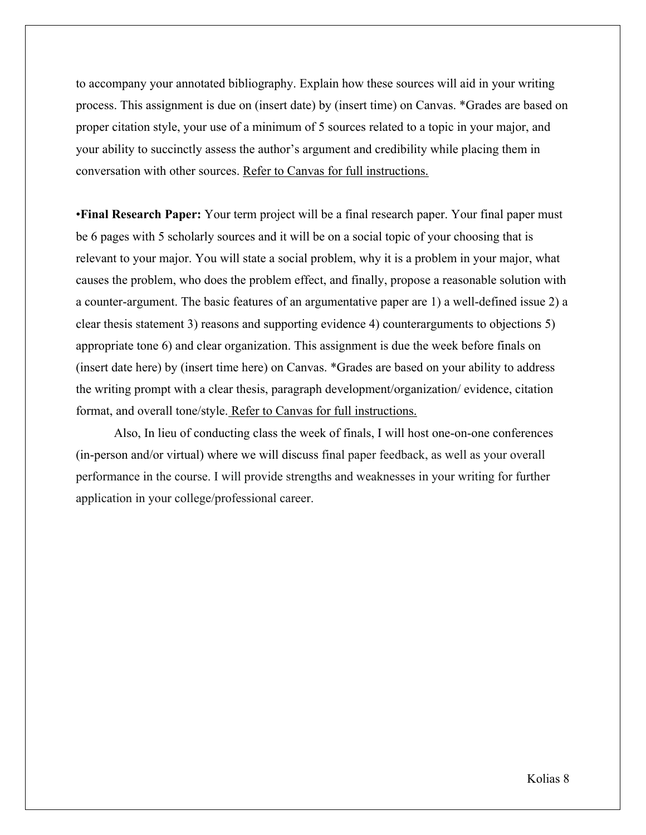to accompany your annotated bibliography. Explain how these sources will aid in your writing process. This assignment is due on (insert date) by (insert time) on Canvas. \*Grades are based on proper citation style, your use of a minimum of 5 sources related to a topic in your major, and your ability to succinctly assess the author's argument and credibility while placing them in conversation with other sources. Refer to Canvas for full instructions.

•**Final Research Paper:** Your term project will be a final research paper. Your final paper must be 6 pages with 5 scholarly sources and it will be on a social topic of your choosing that is relevant to your major. You will state a social problem, why it is a problem in your major, what causes the problem, who does the problem effect, and finally, propose a reasonable solution with a counter-argument. The basic features of an argumentative paper are 1) a well-defined issue 2) a clear thesis statement 3) reasons and supporting evidence 4) counterarguments to objections 5) appropriate tone 6) and clear organization. This assignment is due the week before finals on (insert date here) by (insert time here) on Canvas. \*Grades are based on your ability to address the writing prompt with a clear thesis, paragraph development/organization/ evidence, citation format, and overall tone/style. Refer to Canvas for full instructions.

Also, In lieu of conducting class the week of finals, I will host one-on-one conferences (in-person and/or virtual) where we will discuss final paper feedback, as well as your overall performance in the course. I will provide strengths and weaknesses in your writing for further application in your college/professional career.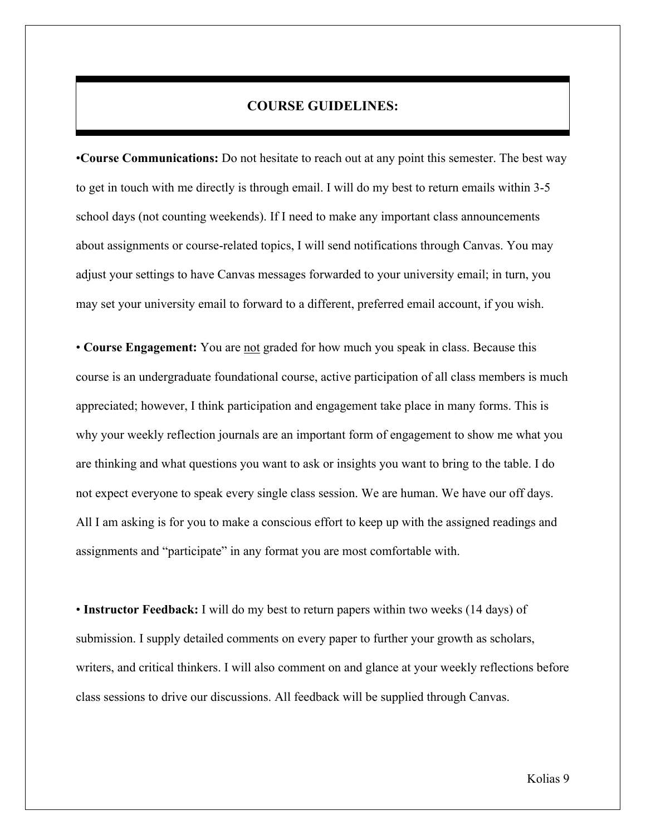### **COURSE GUIDELINES:**

•**Course Communications:** Do not hesitate to reach out at any point this semester. The best way to get in touch with me directly is through email. I will do my best to return emails within 3-5 school days (not counting weekends). If I need to make any important class announcements about assignments or course-related topics, I will send notifications through Canvas. You may adjust your settings to have Canvas messages forwarded to your university email; in turn, you may set your university email to forward to a different, preferred email account, if you wish.

• **Course Engagement:** You are not graded for how much you speak in class. Because this course is an undergraduate foundational course, active participation of all class members is much appreciated; however, I think participation and engagement take place in many forms. This is why your weekly reflection journals are an important form of engagement to show me what you are thinking and what questions you want to ask or insights you want to bring to the table. I do not expect everyone to speak every single class session. We are human. We have our off days. All I am asking is for you to make a conscious effort to keep up with the assigned readings and assignments and "participate" in any format you are most comfortable with.

• **Instructor Feedback:** I will do my best to return papers within two weeks (14 days) of submission. I supply detailed comments on every paper to further your growth as scholars, writers, and critical thinkers. I will also comment on and glance at your weekly reflections before class sessions to drive our discussions. All feedback will be supplied through Canvas.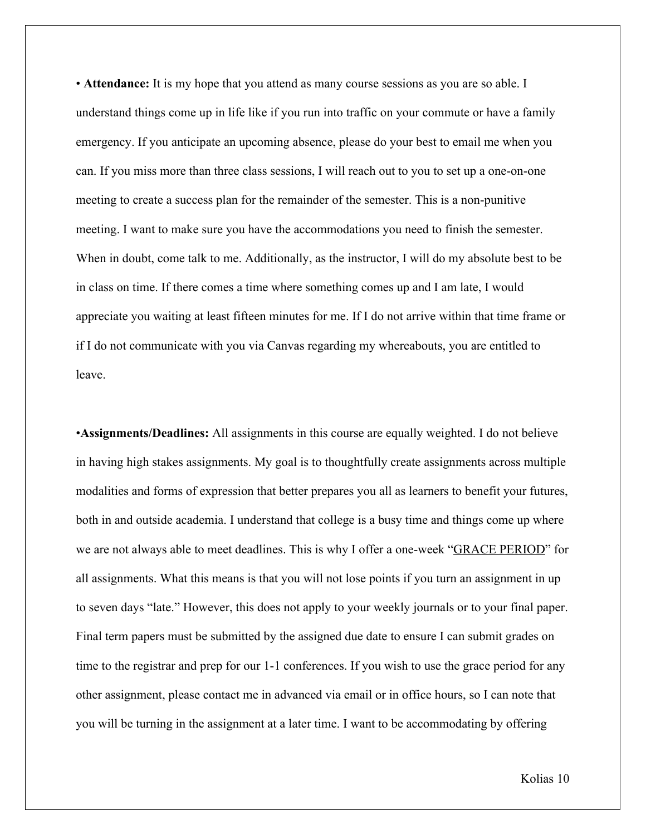• **Attendance:** It is my hope that you attend as many course sessions as you are so able. I understand things come up in life like if you run into traffic on your commute or have a family emergency. If you anticipate an upcoming absence, please do your best to email me when you can. If you miss more than three class sessions, I will reach out to you to set up a one-on-one meeting to create a success plan for the remainder of the semester. This is a non-punitive meeting. I want to make sure you have the accommodations you need to finish the semester. When in doubt, come talk to me. Additionally, as the instructor, I will do my absolute best to be in class on time. If there comes a time where something comes up and I am late, I would appreciate you waiting at least fifteen minutes for me. If I do not arrive within that time frame or if I do not communicate with you via Canvas regarding my whereabouts, you are entitled to leave.

•**Assignments/Deadlines:** All assignments in this course are equally weighted. I do not believe in having high stakes assignments. My goal is to thoughtfully create assignments across multiple modalities and forms of expression that better prepares you all as learners to benefit your futures, both in and outside academia. I understand that college is a busy time and things come up where we are not always able to meet deadlines. This is why I offer a one-week "GRACE PERIOD" for all assignments. What this means is that you will not lose points if you turn an assignment in up to seven days "late." However, this does not apply to your weekly journals or to your final paper. Final term papers must be submitted by the assigned due date to ensure I can submit grades on time to the registrar and prep for our 1-1 conferences. If you wish to use the grace period for any other assignment, please contact me in advanced via email or in office hours, so I can note that you will be turning in the assignment at a later time. I want to be accommodating by offering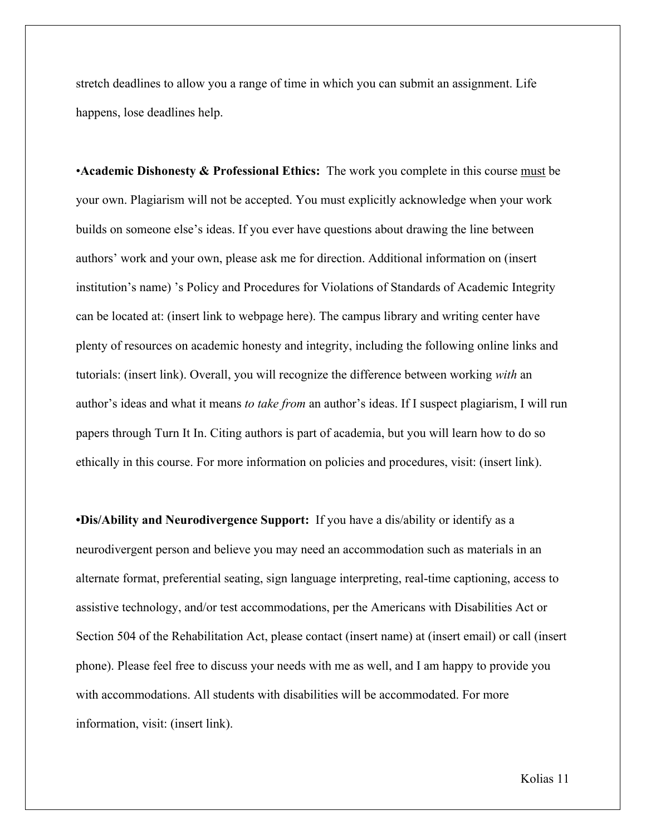stretch deadlines to allow you a range of time in which you can submit an assignment. Life happens, lose deadlines help.

•**Academic Dishonesty & Professional Ethics:** The work you complete in this course must be your own. Plagiarism will not be accepted. You must explicitly acknowledge when your work builds on someone else's ideas. If you ever have questions about drawing the line between authors' work and your own, please ask me for direction. Additional information on (insert institution's name) 's Policy and Procedures for Violations of Standards of Academic Integrity can be located at: (insert link to webpage here). The campus library and writing center have plenty of resources on academic honesty and integrity, including the following online links and tutorials: (insert link). Overall, you will recognize the difference between working *with* an author's ideas and what it means *to take from* an author's ideas. If I suspect plagiarism, I will run papers through Turn It In. Citing authors is part of academia, but you will learn how to do so ethically in this course. For more information on policies and procedures, visit: (insert link).

**•Dis/Ability and Neurodivergence Support:** If you have a dis/ability or identify as a neurodivergent person and believe you may need an accommodation such as materials in an alternate format, preferential seating, sign language interpreting, real-time captioning, access to assistive technology, and/or test accommodations, per the Americans with Disabilities Act or Section 504 of the Rehabilitation Act, please contact (insert name) at (insert email) or call (insert phone). Please feel free to discuss your needs with me as well, and I am happy to provide you with accommodations. All students with disabilities will be accommodated. For more information, visit: (insert link).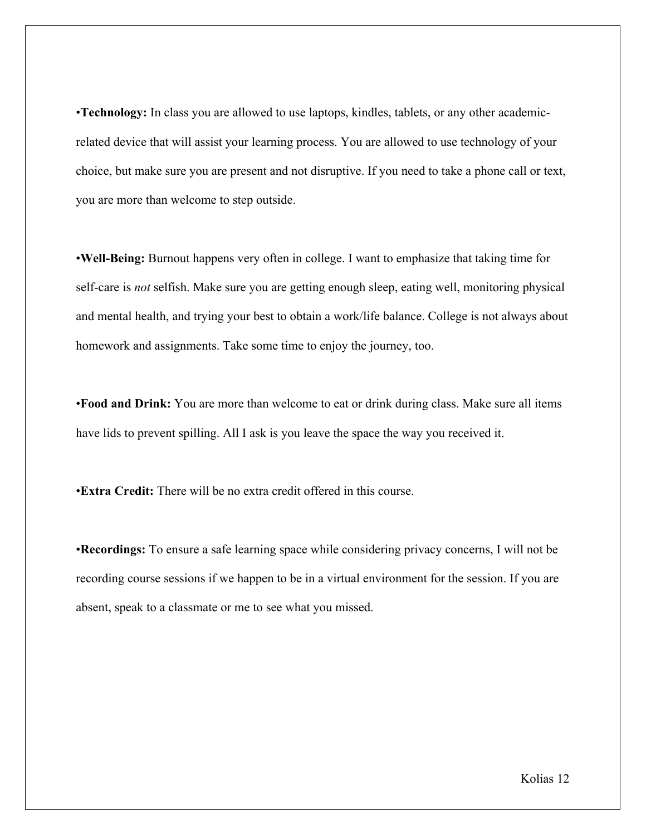•**Technology:** In class you are allowed to use laptops, kindles, tablets, or any other academicrelated device that will assist your learning process. You are allowed to use technology of your choice, but make sure you are present and not disruptive. If you need to take a phone call or text, you are more than welcome to step outside.

•**Well-Being:** Burnout happens very often in college. I want to emphasize that taking time for self-care is *not* selfish. Make sure you are getting enough sleep, eating well, monitoring physical and mental health, and trying your best to obtain a work/life balance. College is not always about homework and assignments. Take some time to enjoy the journey, too.

•**Food and Drink:** You are more than welcome to eat or drink during class. Make sure all items have lids to prevent spilling. All I ask is you leave the space the way you received it.

•**Extra Credit:** There will be no extra credit offered in this course.

•**Recordings:** To ensure a safe learning space while considering privacy concerns, I will not be recording course sessions if we happen to be in a virtual environment for the session. If you are absent, speak to a classmate or me to see what you missed.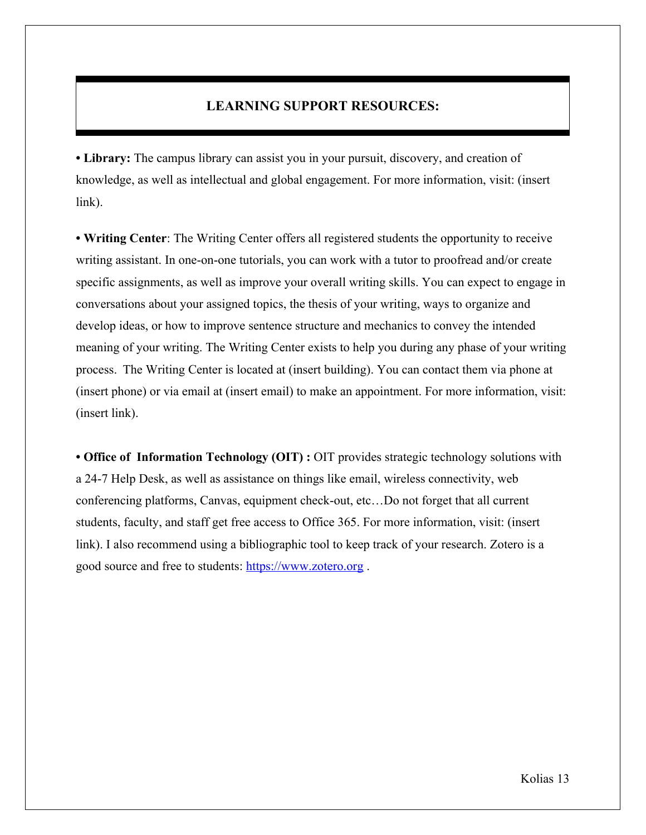# **LEARNING SUPPORT RESOURCES:**

**• Library:** The campus library can assist you in your pursuit, discovery, and creation of knowledge, as well as intellectual and global engagement. For more information, visit: (insert link).

**• Writing Center**: The Writing Center offers all registered students the opportunity to receive writing assistant. In one-on-one tutorials, you can work with a tutor to proofread and/or create specific assignments, as well as improve your overall writing skills. You can expect to engage in conversations about your assigned topics, the thesis of your writing, ways to organize and develop ideas, or how to improve sentence structure and mechanics to convey the intended meaning of your writing. The Writing Center exists to help you during any phase of your writing process. The Writing Center is located at (insert building). You can contact them via phone at (insert phone) or via email at (insert email) to make an appointment. For more information, visit: (insert link).

**• Office of Information Technology (OIT) :** OIT provides strategic technology solutions with a 24-7 Help Desk, as well as assistance on things like email, wireless connectivity, web conferencing platforms, Canvas, equipment check-out, etc…Do not forget that all current students, faculty, and staff get free access to Office 365. For more information, visit: (insert link). I also recommend using a bibliographic tool to keep track of your research. Zotero is a good source and free to students: https://www.zotero.org .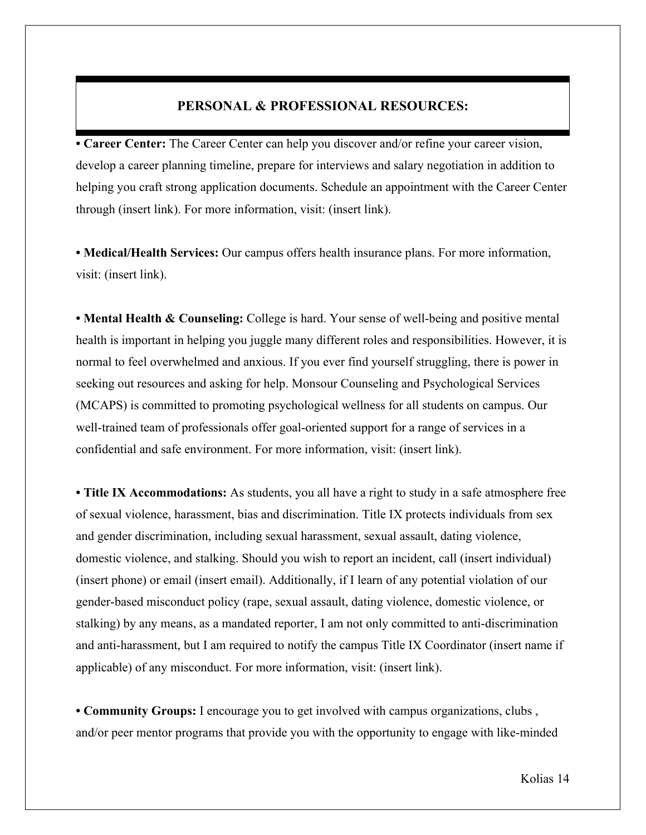## **PERSONAL & PROFESSIONAL RESOURCES:**

**• Career Center:** The Career Center can help you discover and/or refine your career vision, develop a career planning timeline, prepare for interviews and salary negotiation in addition to helping you craft strong application documents. Schedule an appointment with the Career Center through (insert link). For more information, visit: (insert link).

**• Medical/Health Services:** Our campus offers health insurance plans. For more information, visit: (insert link).

**• Mental Health & Counseling:** College is hard. Your sense of well-being and positive mental health is important in helping you juggle many different roles and responsibilities. However, it is normal to feel overwhelmed and anxious. If you ever find yourself struggling, there is power in seeking out resources and asking for help. Monsour Counseling and Psychological Services (MCAPS) is committed to promoting psychological wellness for all students on campus. Our well-trained team of professionals offer goal-oriented support for a range of services in a confidential and safe environment. For more information, visit: (insert link).

**• Title IX Accommodations:** As students, you all have a right to study in a safe atmosphere free of sexual violence, harassment, bias and discrimination. Title IX protects individuals from sex and gender discrimination, including sexual harassment, sexual assault, dating violence, domestic violence, and stalking. Should you wish to report an incident, call (insert individual) (insert phone) or email (insert email). Additionally, if I learn of any potential violation of our gender-based misconduct policy (rape, sexual assault, dating violence, domestic violence, or stalking) by any means, as a mandated reporter, I am not only committed to anti-discrimination and anti-harassment, but I am required to notify the campus Title IX Coordinator (insert name if applicable) of any misconduct. For more information, visit: (insert link).

**• Community Groups:** I encourage you to get involved with campus organizations, clubs , and/or peer mentor programs that provide you with the opportunity to engage with like-minded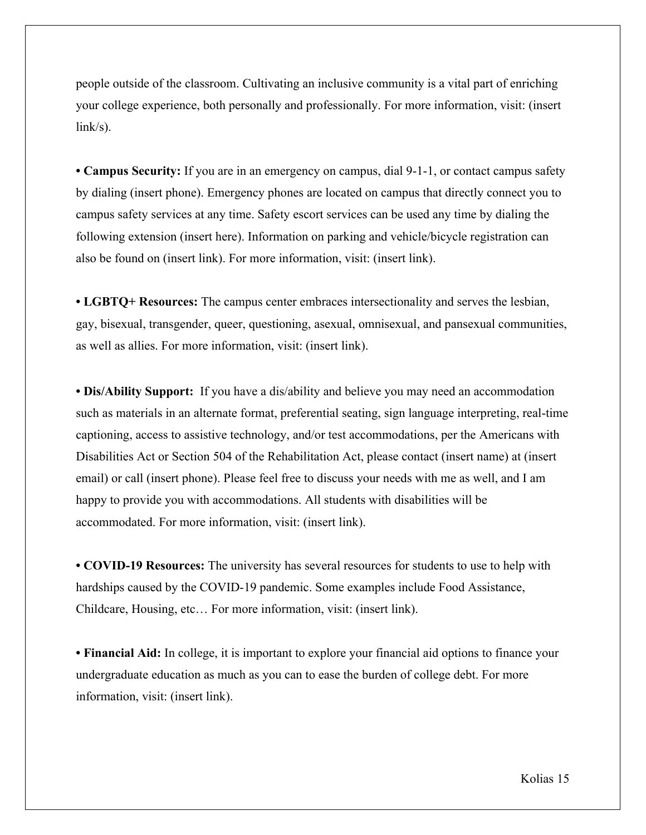people outside of the classroom. Cultivating an inclusive community is a vital part of enriching your college experience, both personally and professionally. For more information, visit: (insert link/s).

**• Campus Security:** If you are in an emergency on campus, dial 9-1-1, or contact campus safety by dialing (insert phone). Emergency phones are located on campus that directly connect you to campus safety services at any time. Safety escort services can be used any time by dialing the following extension (insert here). Information on parking and vehicle/bicycle registration can also be found on (insert link). For more information, visit: (insert link).

**• LGBTQ+ Resources:** The campus center embraces intersectionality and serves the lesbian, gay, bisexual, transgender, queer, questioning, asexual, omnisexual, and pansexual communities, as well as allies. For more information, visit: (insert link).

**• Dis/Ability Support:** If you have a dis/ability and believe you may need an accommodation such as materials in an alternate format, preferential seating, sign language interpreting, real-time captioning, access to assistive technology, and/or test accommodations, per the Americans with Disabilities Act or Section 504 of the Rehabilitation Act, please contact (insert name) at (insert email) or call (insert phone). Please feel free to discuss your needs with me as well, and I am happy to provide you with accommodations. All students with disabilities will be accommodated. For more information, visit: (insert link).

**• COVID-19 Resources:** The university has several resources for students to use to help with hardships caused by the COVID-19 pandemic. Some examples include Food Assistance, Childcare, Housing, etc… For more information, visit: (insert link).

**• Financial Aid:** In college, it is important to explore your financial aid options to finance your undergraduate education as much as you can to ease the burden of college debt. For more information, visit: (insert link).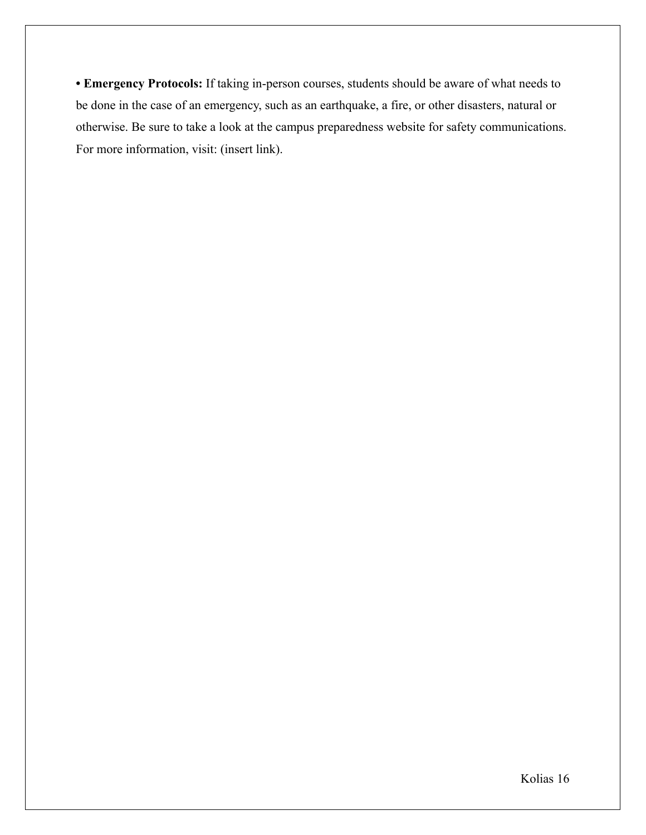**• Emergency Protocols:** If taking in-person courses, students should be aware of what needs to be done in the case of an emergency, such as an earthquake, a fire, or other disasters, natural or otherwise. Be sure to take a look at the campus preparedness website for safety communications. For more information, visit: (insert link).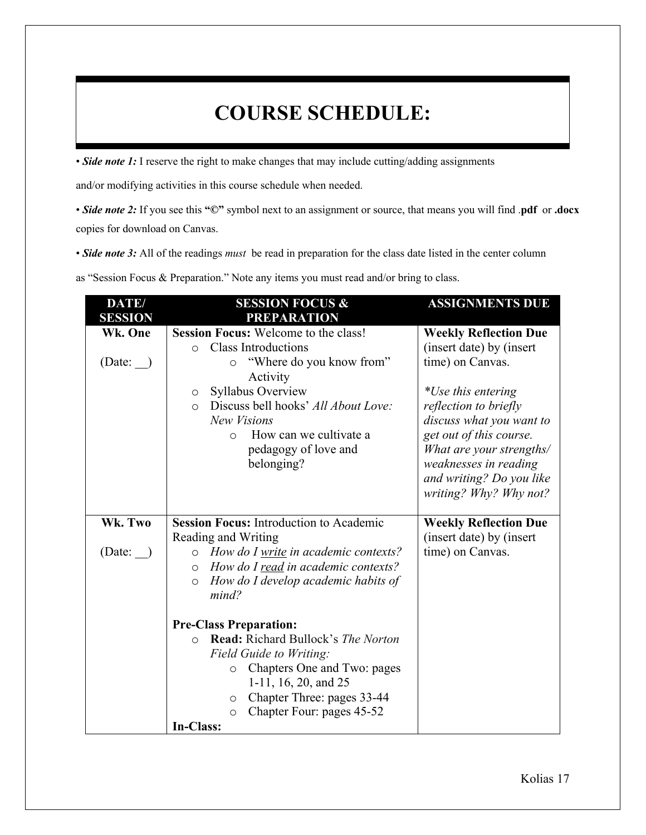# **COURSE SCHEDULE:**

• *Side note 1*: I reserve the right to make changes that may include cutting/adding assignments

and/or modifying activities in this course schedule when needed.

• *Side note 2:* If you see this **"©"** symbol next to an assignment or source, that means you will find .**pdf** or **.docx** copies for download on Canvas.

• *Side note 3:* All of the readings *must* be read in preparation for the class date listed in the center column

as "Session Focus & Preparation." Note any items you must read and/or bring to class.

| DATE/<br><b>SESSION</b> | <b>SESSION FOCUS &amp;</b><br><b>PREPARATION</b>                                                                                                                                                                                                                                                                       | <b>ASSIGNMENTS DUE</b>                                                                                                                                                                                                                                                                        |
|-------------------------|------------------------------------------------------------------------------------------------------------------------------------------------------------------------------------------------------------------------------------------------------------------------------------------------------------------------|-----------------------------------------------------------------------------------------------------------------------------------------------------------------------------------------------------------------------------------------------------------------------------------------------|
| Wk. One<br>(Date: )     | Session Focus: Welcome to the class!<br><b>Class Introductions</b><br>$\Omega$<br>"Where do you know from"<br>$\circ$<br>Activity<br>Syllabus Overview<br>$\circ$<br>Discuss bell hooks' All About Love:<br>$\Omega$<br><b>New Visions</b><br>How can we cultivate a<br>$\Omega$<br>pedagogy of love and<br>belonging? | <b>Weekly Reflection Due</b><br>(insert date) by (insert<br>time) on Canvas.<br>*Use this entering<br>reflection to briefly<br>discuss what you want to<br>get out of this course.<br>What are your strengths/<br>weaknesses in reading<br>and writing? Do you like<br>writing? Why? Why not? |
| Wk. Two<br>(Date: )     | <b>Session Focus: Introduction to Academic</b><br>Reading and Writing<br>o How do I write in academic contexts?<br>o How do I read in academic contexts?<br>How do I develop academic habits of<br>$\circ$<br>mind?                                                                                                    | <b>Weekly Reflection Due</b><br>(insert date) by (insert<br>time) on Canvas.                                                                                                                                                                                                                  |
|                         | <b>Pre-Class Preparation:</b><br>Read: Richard Bullock's The Norton<br>$\Omega$<br>Field Guide to Writing:<br>Chapters One and Two: pages<br>$\circ$<br>1-11, 16, 20, and $25$<br>Chapter Three: pages 33-44<br>O<br>Chapter Four: pages 45-52<br>$\circ$<br>In-Class:                                                 |                                                                                                                                                                                                                                                                                               |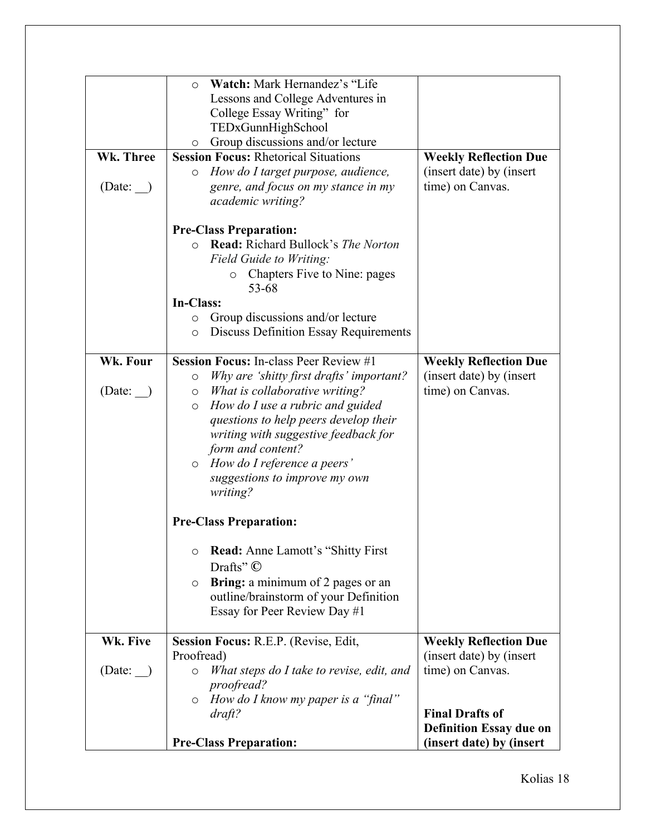| Wk. Three<br>(Date: ) | Watch: Mark Hernandez's "Life"<br>$\circ$<br>Lessons and College Adventures in<br>College Essay Writing" for<br>TEDxGunnHighSchool<br>Group discussions and/or lecture<br>$\circ$<br><b>Session Focus: Rhetorical Situations</b><br>How do I target purpose, audience,<br>O<br>genre, and focus on my stance in my<br>academic writing?                                                                                                                                                                                                                                                                                        | <b>Weekly Reflection Due</b><br>(insert date) by (insert<br>time) on Canvas.         |
|-----------------------|--------------------------------------------------------------------------------------------------------------------------------------------------------------------------------------------------------------------------------------------------------------------------------------------------------------------------------------------------------------------------------------------------------------------------------------------------------------------------------------------------------------------------------------------------------------------------------------------------------------------------------|--------------------------------------------------------------------------------------|
|                       | <b>Pre-Class Preparation:</b><br>Read: Richard Bullock's The Norton<br>$\circ$<br>Field Guide to Writing:<br>Chapters Five to Nine: pages<br>$\circ$<br>53-68<br>In-Class:<br>Group discussions and/or lecture<br>O<br><b>Discuss Definition Essay Requirements</b><br>$\circ$                                                                                                                                                                                                                                                                                                                                                 |                                                                                      |
| Wk. Four<br>(Date:    | <b>Session Focus: In-class Peer Review #1</b><br>Why are 'shitty first drafts' important?<br>O<br>What is collaborative writing?<br>$\circ$<br>How do I use a rubric and guided<br>$\circ$<br>questions to help peers develop their<br>writing with suggestive feedback for<br>form and content?<br>$\circ$ How do I reference a peers'<br>suggestions to improve my own<br>writing?<br><b>Pre-Class Preparation:</b><br><b>Read:</b> Anne Lamott's "Shitty First"<br>$\circ$<br>Drafts" $\mathbb{C}$<br>Bring: a minimum of 2 pages or an<br>$\circ$<br>outline/brainstorm of your Definition<br>Essay for Peer Review Day #1 | <b>Weekly Reflection Due</b><br>(insert date) by (insert<br>time) on Canvas.         |
| Wk. Five<br>(Date: )  | Session Focus: R.E.P. (Revise, Edit,<br>Proofread)<br>What steps do I take to revise, edit, and<br>$\circ$<br>proofread?<br>How do I know my paper is a "final"<br>$\circ$                                                                                                                                                                                                                                                                                                                                                                                                                                                     | <b>Weekly Reflection Due</b><br>(insert date) by (insert)<br>time) on Canvas.        |
|                       | $dr$ aft?<br><b>Pre-Class Preparation:</b>                                                                                                                                                                                                                                                                                                                                                                                                                                                                                                                                                                                     | <b>Final Drafts of</b><br><b>Definition Essay due on</b><br>(insert date) by (insert |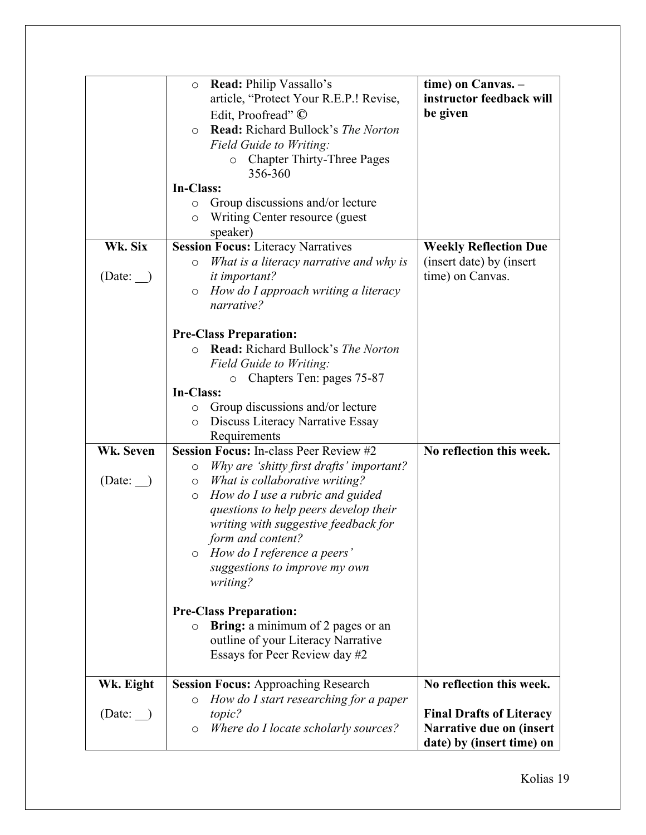|           | Read: Philip Vassallo's<br>$\circ$                    | time) on Canvas. -              |
|-----------|-------------------------------------------------------|---------------------------------|
|           | article, "Protect Your R.E.P.! Revise,                | instructor feedback will        |
|           | Edit, Proofread" ©                                    | be given                        |
|           | Read: Richard Bullock's The Norton<br>$\circ$         |                                 |
|           | Field Guide to Writing:                               |                                 |
|           | <b>Chapter Thirty-Three Pages</b><br>$\circ$          |                                 |
|           | 356-360                                               |                                 |
|           | In-Class:                                             |                                 |
|           |                                                       |                                 |
|           | Group discussions and/or lecture<br>$\circ$           |                                 |
|           | Writing Center resource (guest<br>$\circ$             |                                 |
|           | speaker)                                              |                                 |
| Wk. Six   | <b>Session Focus: Literacy Narratives</b>             | <b>Weekly Reflection Due</b>    |
|           | What is a literacy narrative and why is<br>$\circ$    | (insert date) by (insert        |
| (Date:    | <i>it important?</i>                                  | time) on Canvas.                |
|           | How do I approach writing a literacy<br>$\circ$       |                                 |
|           | narrative?                                            |                                 |
|           |                                                       |                                 |
|           | <b>Pre-Class Preparation:</b>                         |                                 |
|           | <b>Read:</b> Richard Bullock's The Norton<br>$\Omega$ |                                 |
|           | Field Guide to Writing:                               |                                 |
|           | Chapters Ten: pages 75-87<br>O                        |                                 |
|           | In-Class:                                             |                                 |
|           | Group discussions and/or lecture<br>$\circ$           |                                 |
|           | Discuss Literacy Narrative Essay<br>$\circ$           |                                 |
|           | Requirements                                          |                                 |
| Wk. Seven | <b>Session Focus: In-class Peer Review #2</b>         | No reflection this week.        |
|           | Why are 'shitty first drafts' important?<br>$\circ$   |                                 |
| (Date: )  | What is collaborative writing?<br>$\circ$             |                                 |
|           | How do I use a rubric and guided<br>$\circ$           |                                 |
|           | questions to help peers develop their                 |                                 |
|           | writing with suggestive feedback for                  |                                 |
|           | form and content?                                     |                                 |
|           | How do I reference a peers'<br>$\circ$                |                                 |
|           | suggestions to improve my own                         |                                 |
|           | writing?                                              |                                 |
|           |                                                       |                                 |
|           | <b>Pre-Class Preparation:</b>                         |                                 |
|           | <b>Bring:</b> a minimum of 2 pages or an<br>$\circ$   |                                 |
|           | outline of your Literacy Narrative                    |                                 |
|           | Essays for Peer Review day #2                         |                                 |
|           |                                                       |                                 |
| Wk. Eight | <b>Session Focus: Approaching Research</b>            | No reflection this week.        |
|           | How do I start researching for a paper<br>$\circ$     |                                 |
| (Date:    | topic?                                                | <b>Final Drafts of Literacy</b> |
|           | Where do I locate scholarly sources?<br>$\circ$       | Narrative due on (insert        |
|           |                                                       | date) by (insert time) on       |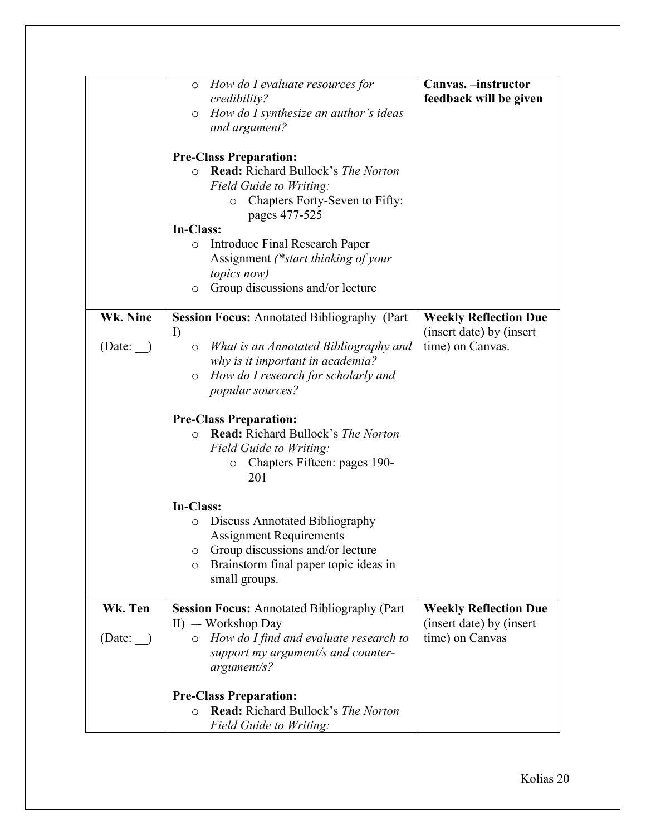|          | How do I evaluate resources for<br>$\circ$<br>credibility?<br>How do I synthesize an author's ideas<br>$\circ$<br>and argument?                                                                        | Canvas. - instructor<br>feedback will be given           |
|----------|--------------------------------------------------------------------------------------------------------------------------------------------------------------------------------------------------------|----------------------------------------------------------|
|          | <b>Pre-Class Preparation:</b><br><b>Read:</b> Richard Bullock's <i>The Norton</i><br>$\circ$<br>Field Guide to Writing:<br>Chapters Forty-Seven to Fifty:<br>$\circ$<br>pages 477-525                  |                                                          |
|          | In-Class:<br>Introduce Final Research Paper<br>$\circ$<br>Assignment (*start thinking of your<br>topics now)<br>Group discussions and/or lecture<br>$\circ$                                            |                                                          |
| Wk. Nine | <b>Session Focus: Annotated Bibliography (Part</b>                                                                                                                                                     | <b>Weekly Reflection Due</b>                             |
| (Date:   | $\mathbf{I}$<br>What is an Annotated Bibliography and<br>$\circ$<br>why is it important in academia?<br>How do I research for scholarly and<br>$\circ$<br><i>popular sources?</i>                      | (insert date) by (insert)<br>time) on Canvas.            |
|          | <b>Pre-Class Preparation:</b><br>Read: Richard Bullock's The Norton<br>$\circ$<br>Field Guide to Writing:<br>Chapters Fifteen: pages 190-<br>$\circ$<br>201                                            |                                                          |
|          | In-Class:<br>Discuss Annotated Bibliography<br>$\circ$<br><b>Assignment Requirements</b><br>Group discussions and/or lecture<br>O<br>Brainstorm final paper topic ideas in<br>$\circ$<br>small groups. |                                                          |
| Wk. Ten  | <b>Session Focus: Annotated Bibliography (Part</b><br>II) — Workshop Day                                                                                                                               | <b>Weekly Reflection Due</b><br>(insert date) by (insert |
| (Date: ) | How do I find and evaluate research to<br>$\circ$<br>support my argument/s and counter-<br>argument/s?                                                                                                 | time) on Canvas                                          |
|          | <b>Pre-Class Preparation:</b><br>Read: Richard Bullock's The Norton<br>O<br><b>Field Guide to Writing:</b>                                                                                             |                                                          |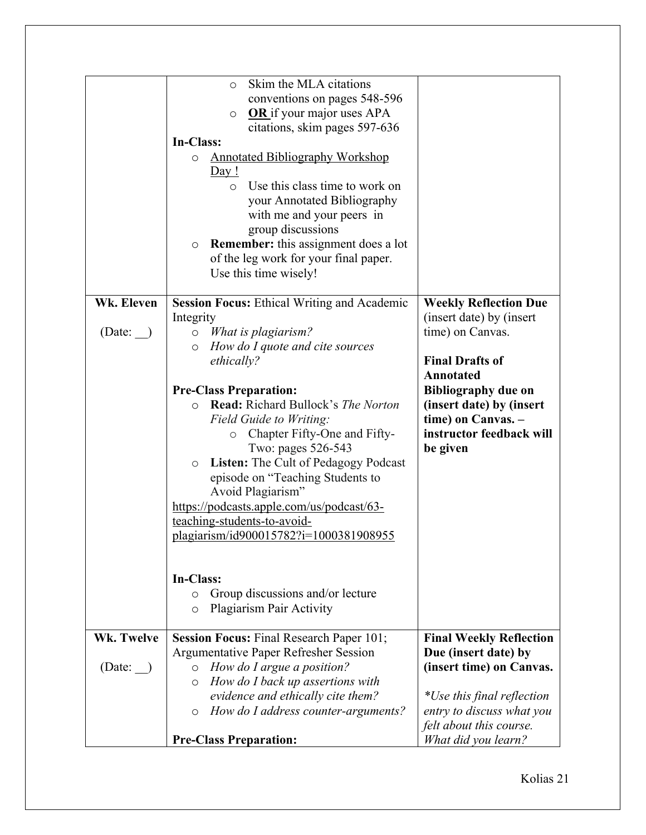| Wk. Eleven<br>(Date: | Skim the MLA citations<br>$\circ$<br>conventions on pages 548-596<br><b>OR</b> if your major uses APA<br>$\circ$<br>citations, skim pages 597-636<br>In-Class:<br><b>Annotated Bibliography Workshop</b><br>$\circ$<br><u>Day!</u><br>Use this class time to work on<br>$\circ$<br>your Annotated Bibliography<br>with me and your peers in<br>group discussions<br><b>Remember:</b> this assignment does a lot<br>$\circ$<br>of the leg work for your final paper.<br>Use this time wisely!<br><b>Session Focus: Ethical Writing and Academic</b><br>Integrity<br>$\circ$ What is plagiarism?<br>How do I quote and cite sources<br>$\circ$<br>ethically?<br><b>Pre-Class Preparation:</b><br><b>Read:</b> Richard Bullock's The Norton<br>$\Omega$<br>Field Guide to Writing:<br>Chapter Fifty-One and Fifty-<br>$\circ$<br>Two: pages 526-543<br>Listen: The Cult of Pedagogy Podcast<br>$\circ$<br>episode on "Teaching Students to<br>Avoid Plagiarism"<br>https://podcasts.apple.com/us/podcast/63-<br>teaching-students-to-avoid-<br>plagiarism/id900015782?i=1000381908955<br>In-Class:<br>Group discussions and/or lecture<br>$\circ$<br>Plagiarism Pair Activity<br>$\circ$ | <b>Weekly Reflection Due</b><br>(insert date) by (insert<br>time) on Canvas.<br><b>Final Drafts of</b><br><b>Annotated</b><br><b>Bibliography due on</b><br>(insert date) by (insert<br>time) on Canvas. -<br>instructor feedback will<br>be given |
|----------------------|---------------------------------------------------------------------------------------------------------------------------------------------------------------------------------------------------------------------------------------------------------------------------------------------------------------------------------------------------------------------------------------------------------------------------------------------------------------------------------------------------------------------------------------------------------------------------------------------------------------------------------------------------------------------------------------------------------------------------------------------------------------------------------------------------------------------------------------------------------------------------------------------------------------------------------------------------------------------------------------------------------------------------------------------------------------------------------------------------------------------------------------------------------------------------------------|----------------------------------------------------------------------------------------------------------------------------------------------------------------------------------------------------------------------------------------------------|
| Wk. Twelve           | <b>Session Focus: Final Research Paper 101;</b>                                                                                                                                                                                                                                                                                                                                                                                                                                                                                                                                                                                                                                                                                                                                                                                                                                                                                                                                                                                                                                                                                                                                       | <b>Final Weekly Reflection</b>                                                                                                                                                                                                                     |
| (Date: )             | Argumentative Paper Refresher Session<br>How do I argue a position?<br>$\circ$<br>How do I back up assertions with<br>$\circ$<br>evidence and ethically cite them?<br>How do I address counter-arguments?<br>$\circ$                                                                                                                                                                                                                                                                                                                                                                                                                                                                                                                                                                                                                                                                                                                                                                                                                                                                                                                                                                  | Due (insert date) by<br>(insert time) on Canvas.<br>*Use this final reflection<br>entry to discuss what you<br>felt about this course.                                                                                                             |
|                      | <b>Pre-Class Preparation:</b>                                                                                                                                                                                                                                                                                                                                                                                                                                                                                                                                                                                                                                                                                                                                                                                                                                                                                                                                                                                                                                                                                                                                                         | What did you learn?                                                                                                                                                                                                                                |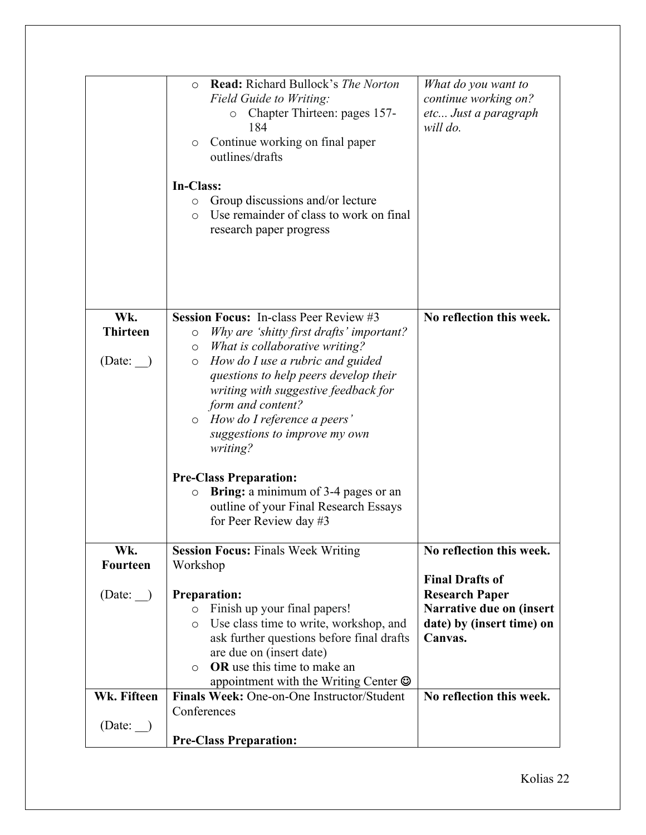|                                  | <b>Read:</b> Richard Bullock's The Norton<br>$\circ$<br>Field Guide to Writing:<br>Chapter Thirteen: pages 157-<br>O<br>184<br>Continue working on final paper<br>$\circ$<br>outlines/drafts<br>In-Class:<br>Group discussions and/or lecture<br>$\circ$<br>Use remainder of class to work on final<br>$\bigcirc$<br>research paper progress                                                                                                                                                                                                     | What do you want to<br>continue working on?<br>etc Just a paragraph<br>will do.           |
|----------------------------------|--------------------------------------------------------------------------------------------------------------------------------------------------------------------------------------------------------------------------------------------------------------------------------------------------------------------------------------------------------------------------------------------------------------------------------------------------------------------------------------------------------------------------------------------------|-------------------------------------------------------------------------------------------|
| Wk.<br><b>Thirteen</b><br>(Date: | <b>Session Focus:</b> In-class Peer Review #3<br>Why are 'shitty first drafts' important?<br>$\circ$<br>What is collaborative writing?<br>$\circ$<br>How do I use a rubric and guided<br>$\circ$<br>questions to help peers develop their<br>writing with suggestive feedback for<br>form and content?<br>$\circ$ How do I reference a peers'<br>suggestions to improve my own<br>writing?<br><b>Pre-Class Preparation:</b><br>Bring: a minimum of 3-4 pages or an<br>$\circ$<br>outline of your Final Research Essays<br>for Peer Review day #3 | No reflection this week.                                                                  |
| Wk.                              | <b>Session Focus: Finals Week Writing</b>                                                                                                                                                                                                                                                                                                                                                                                                                                                                                                        | No reflection this week.                                                                  |
| <b>Fourteen</b>                  | Workshop                                                                                                                                                                                                                                                                                                                                                                                                                                                                                                                                         | <b>Final Drafts of</b>                                                                    |
| (Date: )                         | <b>Preparation:</b><br>Finish up your final papers!<br>$\circ$<br>Use class time to write, workshop, and<br>$\circ$<br>ask further questions before final drafts<br>are due on (insert date)<br><b>OR</b> use this time to make an<br>$\Omega$<br>appointment with the Writing Center $\odot$                                                                                                                                                                                                                                                    | <b>Research Paper</b><br>Narrative due on (insert<br>date) by (insert time) on<br>Canvas. |
| Wk. Fifteen                      | Finals Week: One-on-One Instructor/Student                                                                                                                                                                                                                                                                                                                                                                                                                                                                                                       | No reflection this week.                                                                  |
| (Date: )                         | Conferences<br><b>Pre-Class Preparation:</b>                                                                                                                                                                                                                                                                                                                                                                                                                                                                                                     |                                                                                           |